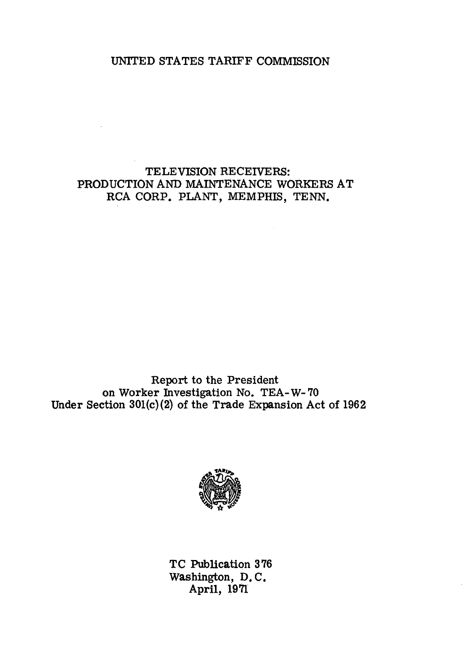## UNITED STATES TARIFF COMMISSION

# TELEVISION RECEIVERS: PRODUCTION AND MAINTENANCE WORKERS AT RCA CORP. PLANT, MEMPHIS, TENN.

Report to the President on Worker Investigation No. TEA-W- 70 Under Section 301(c) (2) of the Trade Expansion Act of 1962



TC Publication 3 76 Washington, D. C. April, 1971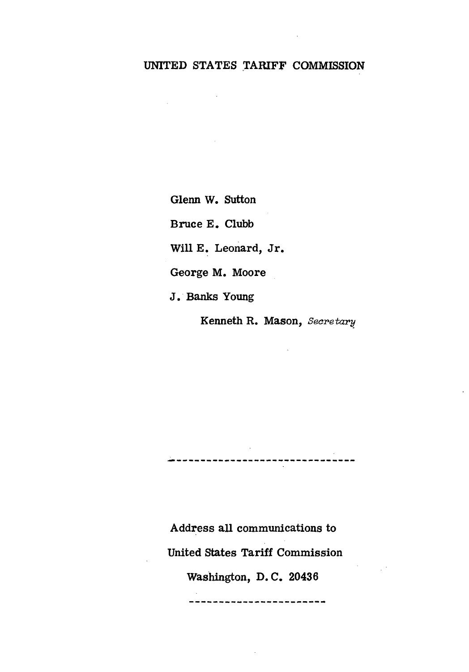# UNITED STATES TARIFF COMMISSION

Glenn W. Sutton

 $\mathcal{L}^{\text{max}}$ 

Bruce E. Clubb

Will E. Leonard, Jr.

George M. Moore

J. Banks Young

Kenneth R. Mason, Secretary

---------------------------

Address all communications to United states Tariff Commission Washington, D. C. 20436

-----------------------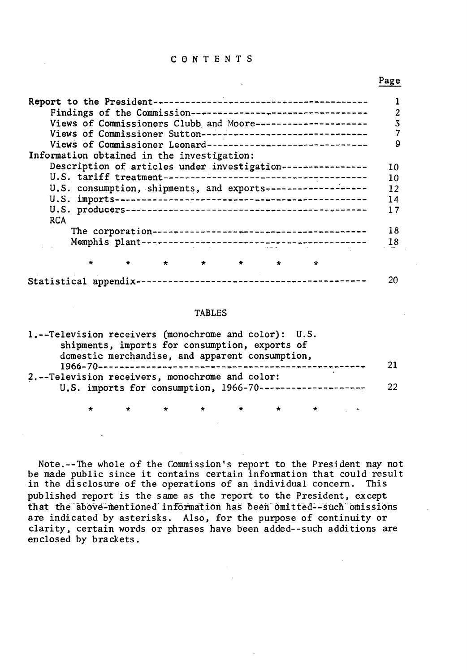#### C 0 N T E N T S

 $\sim 10^{-11}$ 

#### Page

|                                                              | 2  |
|--------------------------------------------------------------|----|
| Views of Commissioners Clubb and Moore---------------------  | 3  |
| Views of Commissioner Sutton-------------------------------  |    |
| Views of Commissioner Leonard------------------------------- | 9  |
| Information obtained in the investigation:                   |    |
| Description of articles under investigation----------------  | 10 |
|                                                              | 10 |
| U.S. consumption, shipments, and exports-------------------  | 12 |
|                                                              | 14 |
|                                                              | 17 |
| <b>RCA</b>                                                   |    |
|                                                              | 18 |
|                                                              | 18 |
|                                                              |    |
|                                                              |    |
|                                                              |    |

#### TABLES

| 1.--Television receivers (monochrome and color): U.S.     |    |
|-----------------------------------------------------------|----|
| shipments, imports for consumption, exports of            |    |
| domestic merchandise, and apparent consumption,           |    |
|                                                           | 21 |
| 2.--Television receivers, monochrome and color:           |    |
| U.S. imports for consumption, 1966-70-------------------- | 22 |
|                                                           |    |

\* \* \* \* \* \* \*

Note.--1he whole of the Commission's report to the President may not be made public since it contains certain information that could result in the disclosure of the operations of an individual concern. This published report is the same as the report to the President, except that the above-mentioned information has been omitted--such omissions are indicated by asterisks. Also, for the purpose of continuity or clarity, certain words or phrases have been added--such additions are enclosed by brackets.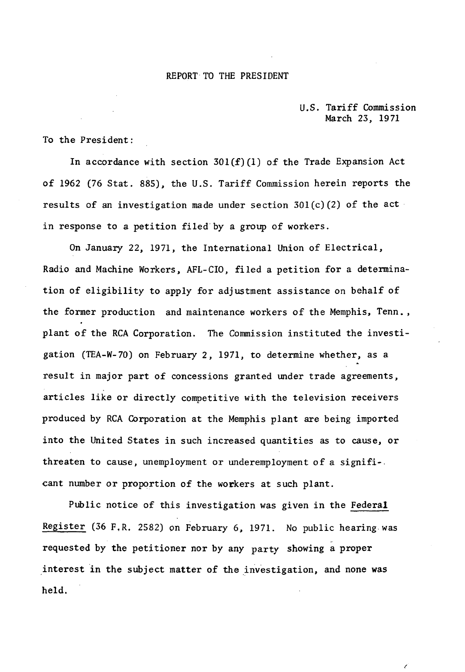#### REPORT TO THE PRESIDENT

#### U.S. Tariff Commission March 23, 1971

 $\lambda$ 

To the President:

In accordance with section  $301(f)(1)$  of the Trade Expansion Act of 1962 (76 Stat. 885), the U.S. Tariff Commission herein reports the results of an investigation made under section  $301(c)(2)$  of the act in response to a petition filed.by a group of workers.

On January 22, 1971, the International Union of Electrical, Radio and Machine Workers, AFL-CIO, filed a petition for a determination of eligibility to apply for adjustment assistance on behalf of the former production and maintenance workers of the Memphis, Tenn., plant of the RCA Corporation. The Commission instituted the investigation (TEA-W-70) on February 2, 1971, to determine whether, as a result in major part of concessions granted under trade agreements, articles like or directly competitive with the television receivers produced by RCA Corporation at the Memphis plant are being imported into the United States in such increased quantities as to cause, or threaten to cause, unemployment or underemployment of a signifi-. cant number or proportion of the workers at such plant.

Public notice of this investigation was given in the Federal Register (36 F,R. 2582) on February 6, 1971. No public hearing.was requested by the petitioner nor by any party showing a proper interest in the subject matter of the investigation, and none was held.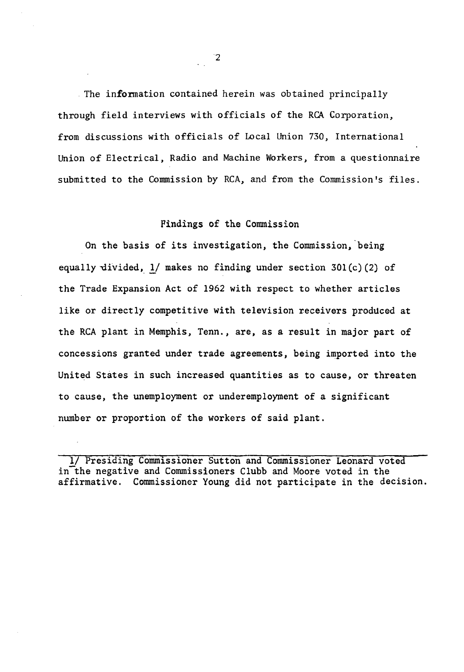The information contained herein was obtained principally through field interviews with officials of the RCA Corporation, from discussions with officials of Local Union 730, International Union of Electrical, Radio and Machine Workers, from a questionnaire submitted to the Commission by RCA, and from the Commission's files.

### Findings of the Commission

On the basis of its investigation, the Commission, being equally divided,  $1/$  makes no finding under section 301 $(c)$  (2) of the Trade Expansion Act of 1962 with respect to whether articles like or directly competitive with television receivers produced at the RCA plant in Memphis, Tenn., are, as a result in major part of concessions granted under trade agreements, being imported into the United States in such increased quantities as to cause, or threaten to cause, the unemployment or underemployment of a significant number or proportion of the workers of said plant.

1/ Presiding Commissioner Sutton and Commissioner Leonard voted in the negative and Commissioners Clubb and Moore voted in the affirmative. Commissioner Young did not participate in the decision.

 $\mathbf{r}$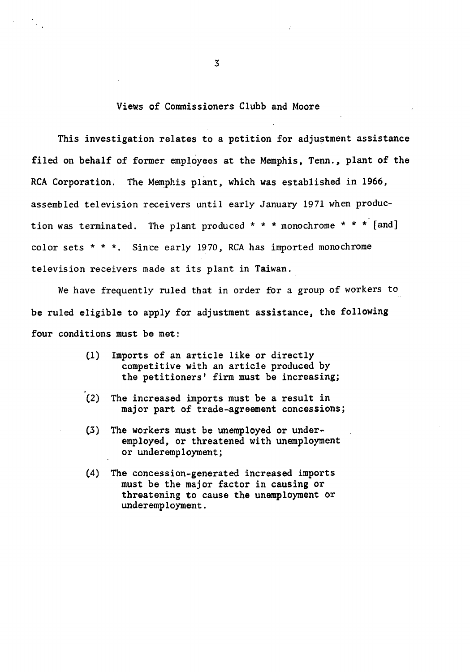#### Views of Commissioners Clubb and Moore

This investigation relates to a petition for adjustment assistance filed on behalf of former employees at the Memphis, Tenn., plant of the RCA Corporation. The Memphis plant, which was established in 1966, assembled television receivers until early January 1971 when production was terminated. The plant produced  $* * *$  monochrome  $* * *$  [and] color sets \* \* \* Since early 1970, RCA has imported monochrome television receivers made at its plant in Taiwan.

We have frequently ruled that in order for a group of workers to be ruled eligible to apply for adjustment assistance, the following four conditions must be met:

- (1) Imports of an article like or directly competitive with an article produced by the petitioners' firm must be increasing;
- (2) The increased imports must be a result in major part of trade-agreement concessions;
- (3) The workers must be unemployed or under~ employed, or threatened with unemployment or underemployment;
- (4) The concession-generated increased imports must be the major factor in causing or threatening to cause the unemployment or underemployment.

 $\mathcal{A}_{\mathcal{A}}$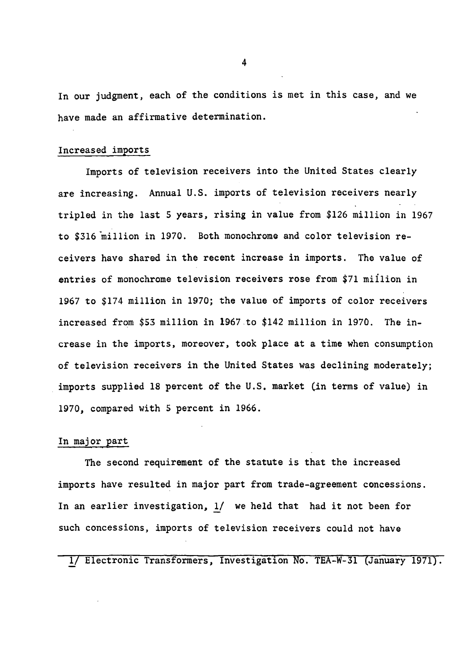In our judgment, each of the conditions is met in this case, and we have made an affirmative determination.

#### Increased imports

Imports of television receivers into the United States clearly are increasing. Annual U.S. imports of television receivers nearly tripled in the last 5 years, rising in value from \$126 million in 1967 to \$316 million in 1970. Both monochrome and color television receivers have shared in the recent increase in imports. The value of entries of monochrome television receivers rose from \$71 miilion in 1967 to \$174 million in 1970; the value of imports of color receivers increased from \$53 million in 1967 to \$142 million in 1970. The increase in the imports, moreover, took place at a time when consumption of television receivers in the United States was declining moderately; imports supplied 18 percent of the U.S. market (in terms of value) in 1970, compared with 5 percent in 1966.

#### In major part

The second requirement of the statute is that the increased imports have resulted in major part from trade-agreement concessions. In an earlier investigation, 1/ we held that had it not been for such concessions, imports of television receivers could not have

1/ Electronic Transformers, Investigation No. TEA-W-31 (January 1971).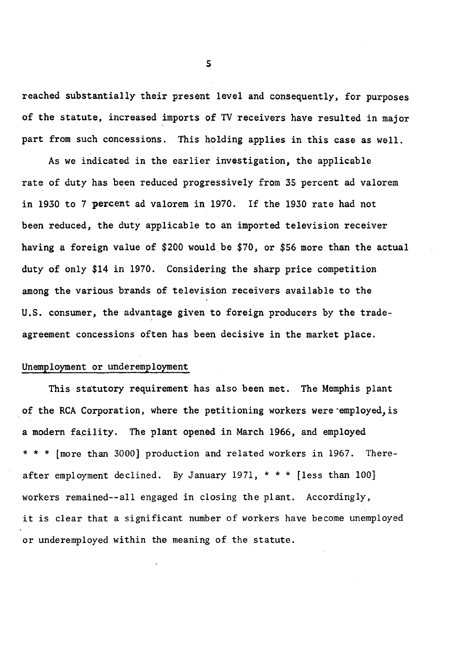reached substantially their present level and consequently, for purposes of the statute, increased imports of TV receivers have resulted in major part from such concessions. This holding applies in this case as well.

As we indicated in the earlier investigation, the applicable rate of duty has been reduced progressively from 35 percent ad valorem in 1930 to 7 percent ad valorem in 1970. If the 1930 rate had not been reduced, the duty applicable to an imported television receiver having a foreign value of \$200 would be \$70, or \$56 more than the actual duty of only \$14 in 1970. Considering the sharp price competition among the various brands of television receivers available to the U.S. consumer, the advantage given to foreign producers by the tradeagreement concessions often has been decisive in the market place.

#### Unemployment or underemployment

This statutory requirement has also been met. The Memphis plant of the RCA Corporation, where the petitioning workers were employed, is a modern facility. The plant opened in March 1966, and employed \* \* \* [more than 3000] production and related workers in 1967. Thereafter employment declined. By January 1971, \* \* \* [less than 100] workers remained--all engaged in closing the plant. Accordingly, it is clear that a significant number of workers have become unemployed or underemployed within the meaning of the statute.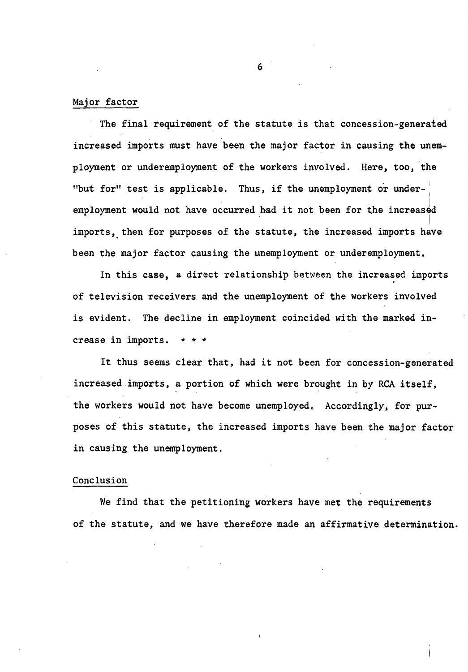#### Major factor

The final requirement of the statute is that concession-generated increased imports must have been the major factor in causing the unemployment or underemployment of the workers involved. Here, too, the "but for" test is applicable. Thus, if the unemployment or under- $\overline{\phantom{a}}$ employment would not have occurred had it not been for the increased imports, then for purposes of the statute, the increased imports have been the major factor causing the unemployment or underemployment.

In this case, a direct relationship between the increased imports of television receivers and the unemployment of the workers involved is evident. The decline in employment coincided with the marked increase in imports. \* \* \*

It thus seems clear that, had it not been for concession-generated increased imports, a portion of which were brought in by RCA itself, the workers would not have become unemployed. Accordingly, for purposes of this statute, the increased imports have been the major factor in causing the unemployment.

#### Conclusion

We find that the petitioning workers have met the requirements of the statute, and we have therefore made an affirmative determination.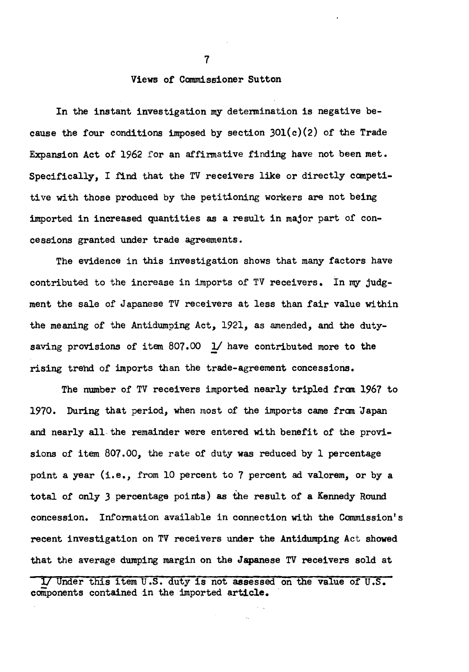#### Views of Commissioner Sutton

In the instant investigation my determination is negative because the four conditions imposed by section 30l(c)(2) of the Trade Expansion Act of 1962 for an affinnative finding have not been met. Specifically, I find that the TV receivers like or directly canpetitive with those produced by the petitioning workers are not being imported in increased quantities as a result in major part of concessions granted under trade agreements.

The evidence in this investigation shows that many factors have contributed to the increase in imports of TV receivers. In my judgment the sale of Japanese TV receivers at less than fair value within the meaning of the Antidumping Act, 1921, as amended, and the dutysaving provisions of item 807.00 *!I* have contributed more to the rising trehd of imports than the trade-agreement concessions.

The number of TV receivers imported nearly tripled from 1967 to 1970. During that period, when most of the imports came fran ·Japan and nearly all the remainder were entered with benefit of the provisions of item 807.00, the rate of duty was reduced by l percentage point a year (i.e., from 10 percent to 7 percent ad valorem, or by a total of only *3* percentage points) as the result of a Kennedy Round concession. Information available in connection with the Commission's recent investigation on TV receivers under the Antidumping Act showed that the average dumping margin on the Japanese TV receivers sold at

1/ Under this item U.S. duty is not assessed on the value of U.S. components contained in the imported article.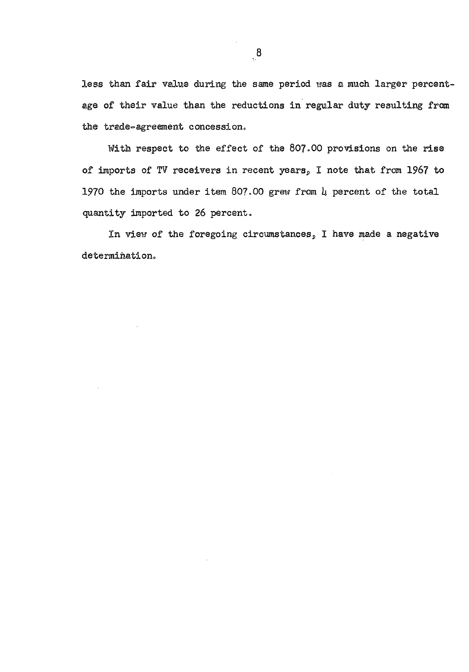less than fair value during the same period was a much larger percentage of their value than the reductions in regular duty resulting from the trade-agreement concession.

With respect to the effect of the 807.00 provisions on the rise of imports of TV receivers in recent years, I note that from 1967 to 1970 the imports under item 807.00 grew from  $\mu$  percent of the total quantity imported to 26 percent.

In view of the foregoing circumstances, I have made a negative determination.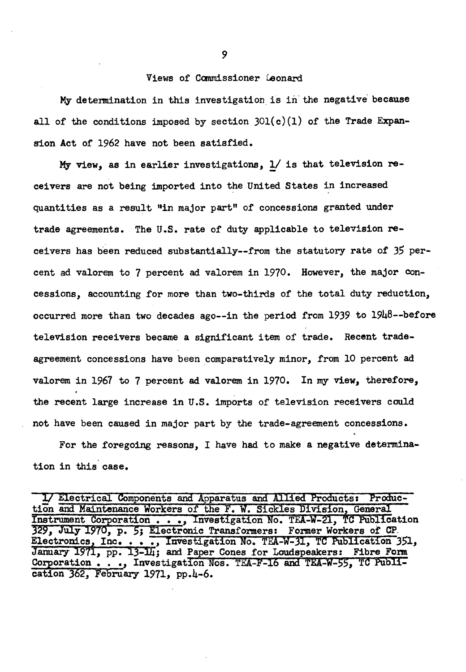#### Views of Canmissioner Leonard

My determination in this investigation is in the negative because all of the conditions imposed by section  $301(c)(1)$  of the Trade Expansion Act of 1962 have not been satisfied.

My view, as in earlier investigations, 1/ is that television receivers are not being imported into the United States in increased quantities as a result "in major part" of concessions granted under trade agreements. The U.S. rate of duty applicable to television receivers has b'een reduced substantially--from the statutory rate of *35* percent ad valorem to 7 percent ad valorem in 1970. However, the major concessions, accounting for more than two-thirds of the total duty reduction, occurred more than two decades ago--in the period from 1939 to  $19\mu\delta$ --before television receivers became a significant item of trade. Recent tradeagreement concessions have been comparatively minor, from 10 percent ad valorem in 1967 to 7 percent ad valorem in 1970. In my view, therefore, the recent large increase in U.S. imports of television receivers could not have been caused in major part by the trade-agreement concessions.

For the foregoing reasons, I have had to make a negative determination in this case.

<sup>1/</sup> Electrical Components and Apparatus and Allied Products: Production and Maintenance Workers of the F. W. Sickles Division, General Instrument Corporation . . . , Investigation No. TEA-W-21, TC Publication 329, July 1970, p. 5; Electronic Transformers: Former Workers of CP 329, July 1970, p. 5; Electronic Transformers: Former Workers of CP.<br>Electronics, Inc. . . . , Investigation No. TEA-W-31, TC Publication 351, January 1971, pp. 13-14; and Paper Cones for Loudspeakers: Fibre Form Corporation . .., Investigation Nos. TEA-F-16 and TEA-W-55, TC Publication 362, February 1971, pp.4-6.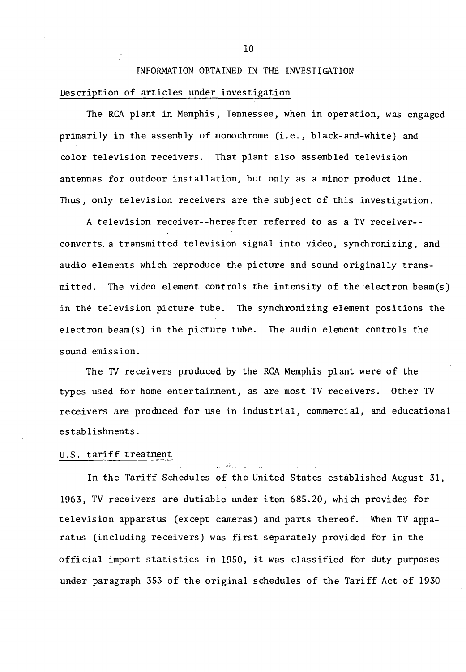# INFORMATION OBTAINED IN THE INVESTIGATION Description of articles under investigation

The RCA plant in Memphis, Tennessee, when in operation, was engaged primarily in the assembly of monochrome (i.e., black-and-white) and color television receivers. That plant also assembled television antennas for outdoor installation, but only as a minor product line. Thus, only television receivers are the subject of this investigation.

A television receiver--hereafter referred to as a TV receiver- converts. a transmitted television signal into video, synchronizing, and audio elements which reproduce the picture and sound originally transmitted. The video element controls the intensity of the electron beam(s) in the television picture tube. The synchronizing element positions the electron beam(s) in the picture tube. The audio element controls the sound emission.

The TV receivers produced by the RCA Memphis plant were of the types used for home entertainment, as are most TV receivers. Other TV receivers are produced for use in industrial, commercial, and educational establishments.

#### U.S. tariff treatment

In the Tariff Schedules of the United States established August 31, 1963, TV receivers are dutiable under item 685.20, which provides for television apparatus (except cameras) and parts thereof. When TV apparatus (including receivers) was first separately provided for in the official import statistics in 1950, it was classified for duty purposes under paragraph 353 of the original schedules of the Tariff Act of 1930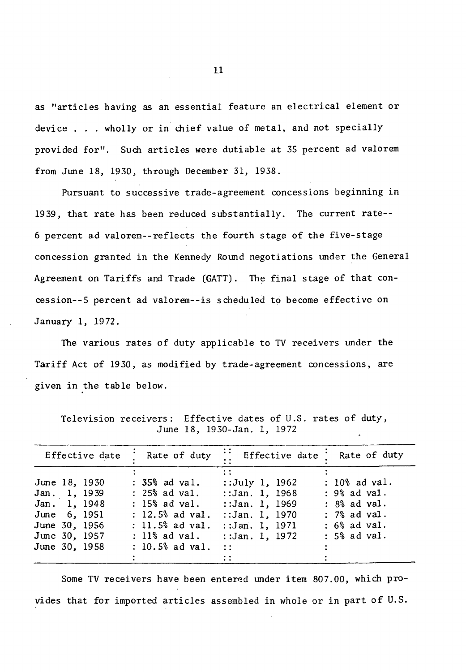as "articles having as an essential feature an electrical element or device . . . wholly or in chief value of metal, and not specially provided for". Such articles were dutiable at 35 percent ad valorem from June 18, 1930, through December 31, 1938.

Pursuant to successive trade-agreement concessions beginning in 1939, that rate has been reduced substantially. The current rate-- 6 percent ad valorem--reflects the fourth stage of the five-stage concession granted in the Kennedy Round negotiations under the General Agreement on Tariffs and Trade (GATT). The final stage of that concession--5 percent ad valorem--is scheduled to become effective on January 1, 1972.

The various rates of duty applicable to TV receivers under the Tariff Act of 1930, as modified by trade-agreement concessions, are given in the table below.

| Effective date                                                                                                   | Rate of duty                                                                                                                             | $\cdots$ Effective date $\vdots$                                                                                                            | Rate of duty                                                                                      |
|------------------------------------------------------------------------------------------------------------------|------------------------------------------------------------------------------------------------------------------------------------------|---------------------------------------------------------------------------------------------------------------------------------------------|---------------------------------------------------------------------------------------------------|
| June 18, 1930<br>Jan. 1, 1939<br>Jan. 1, 1948<br>June 6, 1951<br>June 30, 1956<br>June 30, 1957<br>June 30, 1958 | $: 35%$ ad val.<br>: 25% ad val.<br>$: 15%$ ad val.<br>$: 12.5%$ ad val.<br>$: 11.5%$ ad val.<br>$: 11\%$ ad $val.$<br>$: 10.5%$ ad val. | $\mathbf{1}$<br>::July 1, 1962<br>::Jan. 1, 1968<br>::Jan. 1, 1969<br>:: Jan. 1, 1970<br>:: $Jan. 1, 1971$<br>::Jan. 1, 1972<br>$\sim 11$ . | : 10% ad val.<br>: 9% ad val.<br>$: 8%$ ad val.<br>$: 7%$ ad val.<br>: 6% ad val.<br>: 5% ad val. |
|                                                                                                                  |                                                                                                                                          |                                                                                                                                             |                                                                                                   |

Television receivers: Effective dates of U.S. rates of duty, June 18, 1930-Jan. 1, 1972

Some TV receivers have been entered under item 807.00, which provides that for imported articles assembled in whole or in part of U.S.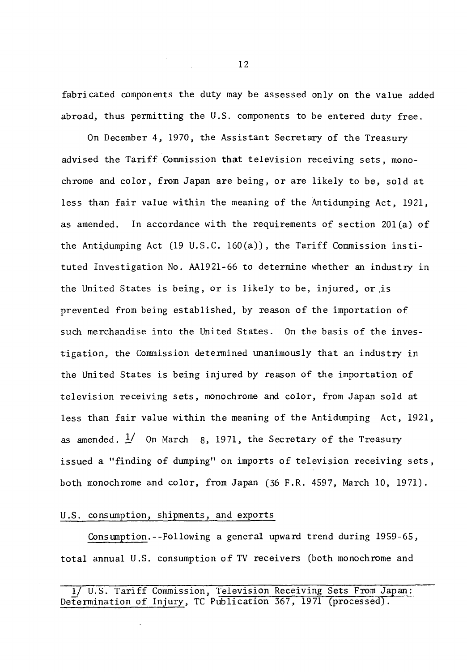fabricated components the duty may be assessed only on the value added abroad, thus permitting the U.S. components to be entered duty free.

On December 4, 1970, the Assistant Secretary of the Treasury advised the Tariff Commission **that** television receiving sets, monochrome and color, from Japan are being, or are likely to be, sold at less than fair value within the meaning of the Antidumping Act, 1921, as amended. In accordance with the requirements of section 20l(a) of the Antidumping Act (19 U.S.C. 160 $(a)$ ), the Tariff Commission instituted Investigation No. AA1921-66 to determine whether an industry in the United States is being, or is likely to be, injured, or .is prevented from being established, by reason of the importation of such merchandise into the United States. On the basis of the investigation, the Commission detennined unanimously that an industry in the United States is being injured by reason of the importation of television receiving sets, monochrome and color, from Japan sold at less than fair value within the meaning of the Antidumping Act, 1921, as amended.  $\frac{1}{2}$  On March 8, 1971, the Secretary of the Treasury issued a "finding of dumping" on imports of television receiving sets, both monochrome and color, from Japan (36 F.R. 4597, March 10, 1971).

#### U.S. consumption, shipments, and exports

Consumption.--Following a general upward trend during 1959-65, total annual U.S. consumption of TV receivers (both monochrome and

<sup>1/</sup> U.S. Tariff Commission, Television Receiving Sets From Japan: Determination of Injury, TC Publication 367, 1971 (processed).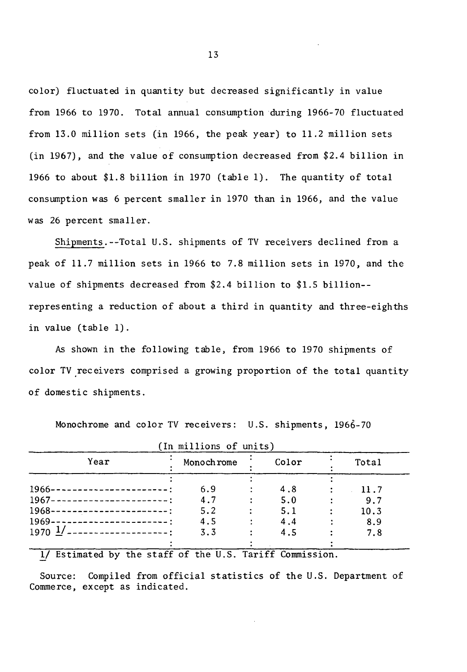color) fluctuated in quantity but decreased significantly in value from 1966 to 1970. Total annual consumption during 1966-70 fluctuated from 13.0 million sets (in 1966, the peak year) to 11.2 million sets (in 1967), and the value of consumption decreased from \$2.4 billion in 1966 to about \$1.8 billion in 1970 (table 1). The quantity of total consumption was 6 percent smaller in 1970 than in 1966, and the value was 26 percent smaller.

Shipments.--Total U.S. shipments of TV receivers declined from a peak of 11.7 million sets in 1966 to 7.8 million sets in 1970, and the value of shipments decreased from \$2.4 billion to \$1.5 billion- representing a reduction of about a third in quantity and three-eighths in value (table 1).

As shown in the following table, from 1966 to 1970 shipments of color TV receivers comprised a growing proportion of the total quantity of domestic shipments.

|                                             | (In millions of units) |       |      |  |
|---------------------------------------------|------------------------|-------|------|--|
| Year                                        | Monoch rome            | Total |      |  |
|                                             |                        |       |      |  |
| 1966-----------------------                 | 6.9                    | 4.8   | 11.7 |  |
| 1967-----------------------:                | 4.7                    | 5.0   | 9.7  |  |
| 1968-----------------------                 | 5.2                    | 5.1   | 10.3 |  |
| $1969---$                                   | 4.5                    | 4.4   | 8.9  |  |
| $1970 \frac{1}{2}$<br>--------------------- | 3.3                    | 4.5   | 7.8  |  |
|                                             |                        |       |      |  |

Monochrome and color TV receivers: U.S. shipments, 1966-70

1/ Estimated by the staff of the U.S. Tariff Commission.

Source: Compiled from official statistics of the U.S. Department of Commerce, except as indicated.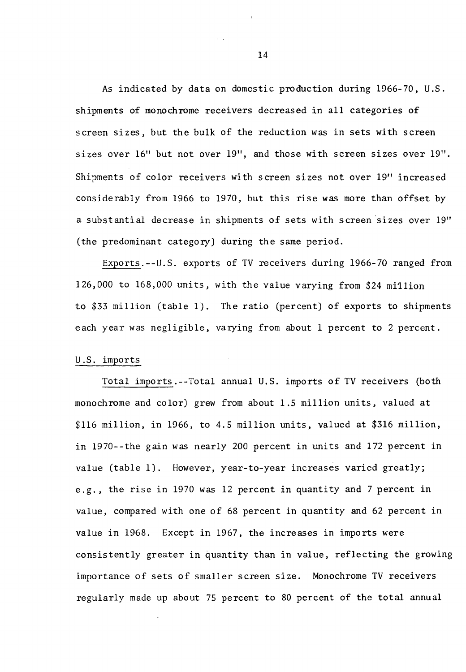As indicated by data on domestic production during 1966- *70,* U.S. shipments of monochrome receivers decreased in all categories of screen sizes, but the bulk of the reduction was in sets with screen sizes over 16" but not over 19", and those with screen sizes over 19". Shipments of color receivers with screen sizes not over 19" increased considerably from 1966 to 1970, but this rise was more than offset by a substantial decrease in shipments of sets with screen sizes over 19" (the predominant category) during the same period.

Exports.--U.S. exports of TV receivers during 1966-70 ranged from 126,000 to 168,000 units, with the value varying from \$24 mi1lion to \$33 million (table 1). The ratio (percent) of exports to shipments each year was negligible, varying from about 1 percent to 2 percent.

#### U.S. imports

Total imports.--Total annual U.S. imports of TV receivers (both monochrome and color) grew from about 1.5 million units, valued at \$116 million, in 1966, to 4.5 million units, valued at \$316 million, in 1970--the gain was nearly 200 percent in units and 172 percent in value (table 1). However, year-to-year increases varied greatly; e.g., the rise in 1970 was 12 percent in quantity and 7 percent in value, compared with one of 68 percent in quantity and 62 percent in value in 1968. Except in 1967, the increases in imports were consistently greater in quantity than in value, reflecting the growing importance of sets of smaller screen size. Monochrome TV receivers regularly made up about 75 percent to 80 percent of the total annual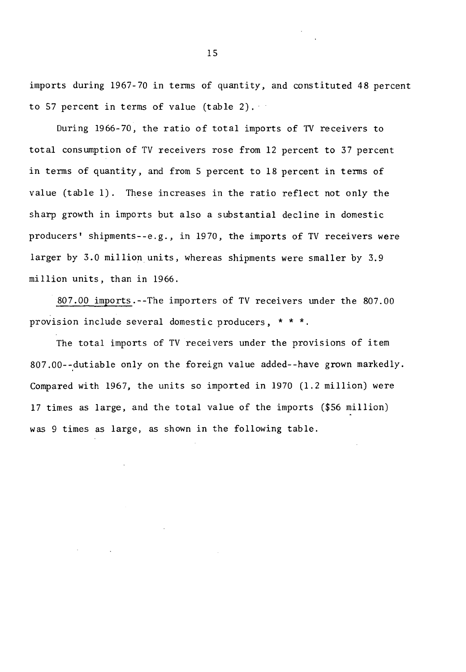imports during 1967-70 in terms of quantity, and constituted 48 percent to 57 percent in terms of value (table 2).

During 1966-70, the ratio of total imports of TV receivers to total consumption of TV receivers rose from 12 percent to 37 percent in terms of quantity, and from 5 percent to 18 percent in terms of value (table 1). These increases in the ratio reflect not only the sharp growth in imports but also a substantial decline in domestic producers' shipments--e.g., in 1970, the imports of TV receivers were larger by 3.0 million units, whereas shipments were smaller by 3.9 million units, than in 1966.

807.00 imports.--The importers of TV receivers under the 807.00 provision include several domestic producers, \* \* \*.

The total imports of TV receivers under the provisions of item 807.00--dutiable only on the foreign value added--have grown markedly. Compared with 1967, the units so imported in 1970 (1.2 million) were 17 times as large, and the total value of the imports (\$56 million) was 9 times as large, as shown in the following table.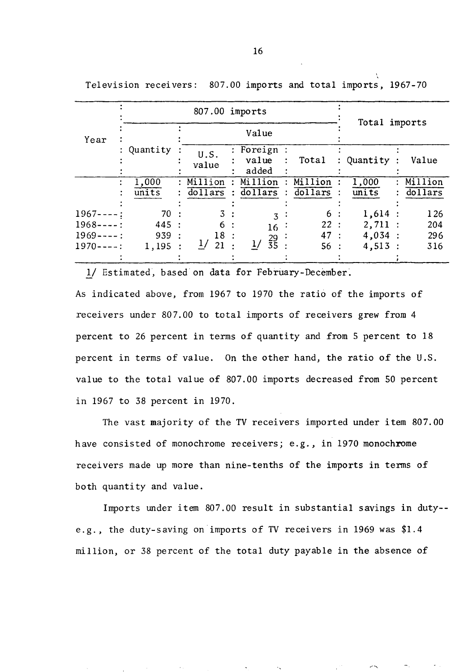|             |                    | 807.00 imports      |  | Total imports                     |             |            |  |           |
|-------------|--------------------|---------------------|--|-----------------------------------|-------------|------------|--|-----------|
| Year        |                    |                     |  | Value                             |             |            |  |           |
|             | : Quantity         | U.S.<br>value       |  | $:$ Foreign $:$<br>value<br>added | Total       | : Quantity |  | Value     |
|             | $\overline{1,000}$ | Million             |  | Million                           | Million     | 1,000      |  | : Million |
|             | $\overline{units}$ | dollars             |  | dollars                           | $dollars$ : | units      |  | dollars   |
|             |                    |                     |  |                                   |             |            |  |           |
| $1967---$ : | 70:                | 3:                  |  | 3                                 | 6 :         | 1,614:     |  | 126       |
| $1968---$ : | 445:               | 6:                  |  | $16$ :                            | 22:         | 2,711:     |  | 204       |
| $1969---$ : | 939:               | 18:                 |  |                                   | 47 :        | 4,034:     |  | 296       |
| $1970---$ : | 1,195:             | $\frac{1}{2}$<br>21 |  | $\frac{29}{35}$ :                 | 56:         | 4,513:     |  | 316       |
|             |                    |                     |  |                                   |             |            |  |           |

Television receivers: 807.00 imports and total imports, 1967-70

1/ Estimated, based on data for February-December.

As indicated above, from 1967 to 1970 the ratio of the imports of receivers under 807.00 to total imports of receivers grew from 4 percent to 26 percent in terms 0£ quantity and £rom 5 percent to 18 percent in terms of value. On the other hand, the ratio of the U.S. value to the total value of 807.00 imports decreased from 50 percent in 1967 to 38 percent in 1970.

The vast majority of the TV receivers imported under item 807.00 have consisted of monochrome receivers; e.g., in 1970 monochrome receivers made up more than nine-tenths of the imports in tenns of both quantity and value.

Imports under item 807.00 result in substantial savings in duty- e.g., the duty-saving on imports of TV receivers in 1969 was \$1.4 million, or 38 percent of the total duty payable in the absence of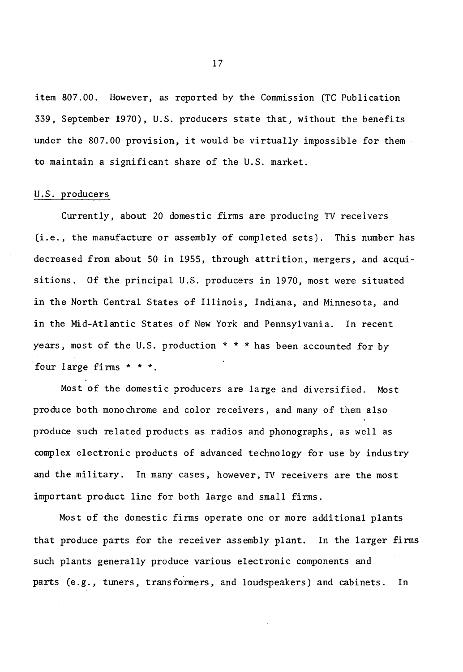item 807.00. However, as reported by the Commission (TC Publication 339, September 1970), U.S. producers state that, without the benefits under the 807.00 provision, it would be virtually impossible for them to maintain a significant share of the U.S. market.

#### U.S. producers

Currently, about 20 domestic firms are producing TV receivers *(i.e.,* the manufacture or assembly of completed sets). This number has decreased from about 50 in 1955, through attrition, mergers, and acquisitions. Of the principal U.S. producers in 1970, most were situated in the North Central States of Illinois, Indiana, and Minnesota, and in the Mid-Atlantic States of New York and Pennsylvania. In recent years, most of the U.S. production  $* * *$  has been accounted for by four large firms  $* * *$ .

Most of the domestic producers are large and diversified. Most produce both monochrome and color receivers, and many of them also produce such related products as radios and phonographs, as well as complex electronic products of advanced technology for use by industry and the military. In many cases, however, TV receivers are the most important product line for both large and small firms.

Most of the domestic finns operate one or more additional plants that produce parts for the receiver assembly plant. In the larger firms such plants generally produce various electronic components and parts *(e.g.,* tuners, transformers, and loudspeakers) and cabinets. In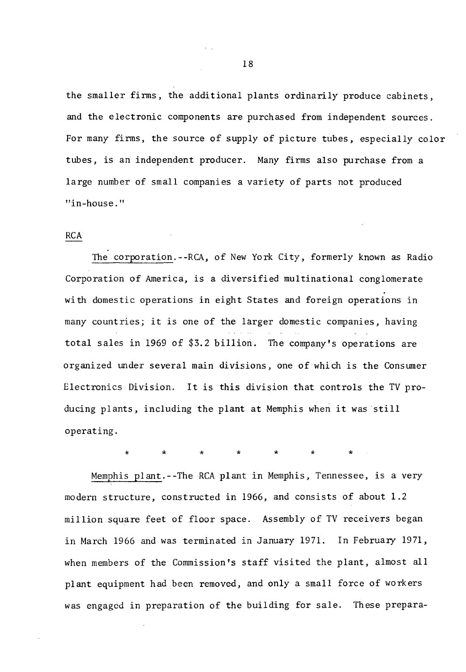the smaller firms, the additional plants ordinarily produce cabinets, and the electronic components are purchased from independent sources. For many firms, the source of supply of picture tubes, especially color tubes, is an independent producer. Many firms also purchase from a large number of small companies a variety of parts not produced "in-house."

#### RCA

The corporation.--RCA, of New York City, formerly known as Radio Corporation of America, is a diversified multinational conglomerate with domestic operations in eight States and foreign operations in many countries; it is one of the larger domestic companies, having total sales in 1969 of \$3.2 billion. The company's operations are organized under several main divisions, one of which is the Consumer Electronics Division. It is this division that controls the TV producing plants, including the plant at Memphis when it was still operating.

\* \* \* \* \* \* \*

Memphis plant.--The RCA plant in Memphis, Tennessee, is a very modern structure, constructed in 1966, and consists of about 1.2 million square feet of floor space. Assembly of TV receivers began in March 1966 and was terminated in January 1971. In February 1971, when members of the Commission's staff visited the plant, almost all plant equipment had been removed, and only a small force of workers was engaged in preparation of the building for sale. These prepara-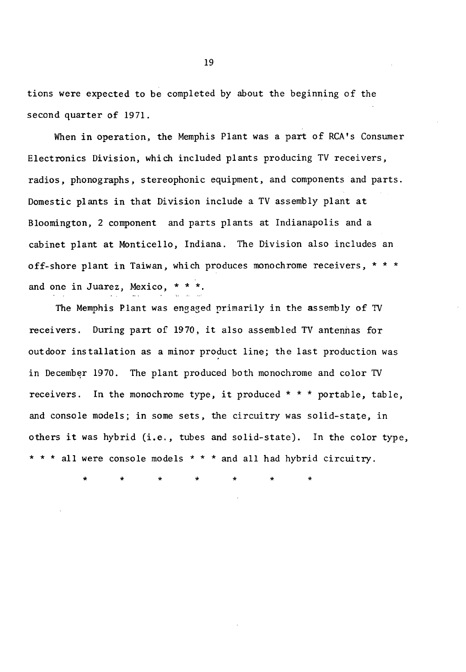tions were expected to be completed by about the beginning of the second quarter of 1971.

When in operation, the Memphis Plant was a part of RCA's Consumer Electronics Division, which included plants producing *TV* receivers, radios, phonographs, stereophonic equipment, and components and parts. Domestic plants in that Division include a *TV* assembly plant at Bloomington, 2 component and parts plants at Indianapolis and a cabinet plant at Monticello, Indiana. The Division also includes an off-shore plant in Taiwan, which produces monochrome receivers, \* \* \* and one in Juarez, Mexico, \* \* \*

The Memphis Plant was engaged primarily in the assembly of TV receivers. During part of 1970, it also assembled TV antennas for outdoor installation as a minor product line; the last production was in December 1970. The plant produced both monochrome and color *TV* receivers. In the monochrome type, it produced \* \* \* portable, table, and console models; in some sets, the circuitry was solid-state, in others it was hybrid (i.e., tubes and solid-state). In the color type, \* \* \* all were console models \* \* \* and all had hybrid circuitry.

\* \* \* \* \* \* \*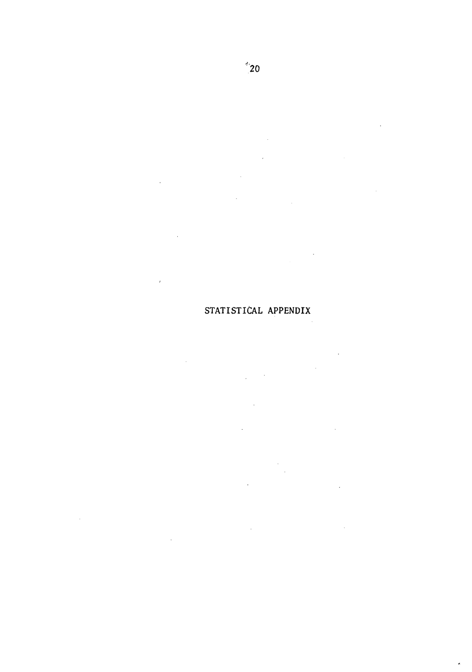$\bar{z}$ 

 $\overline{\phantom{a}}$ 

STATISTICAL APPENDIX

 $\ddot{\phantom{a}}$ ÷,  $\overline{1}$ 

 $\bar{\alpha}$  $\ddot{\phantom{a}}$ 

ż,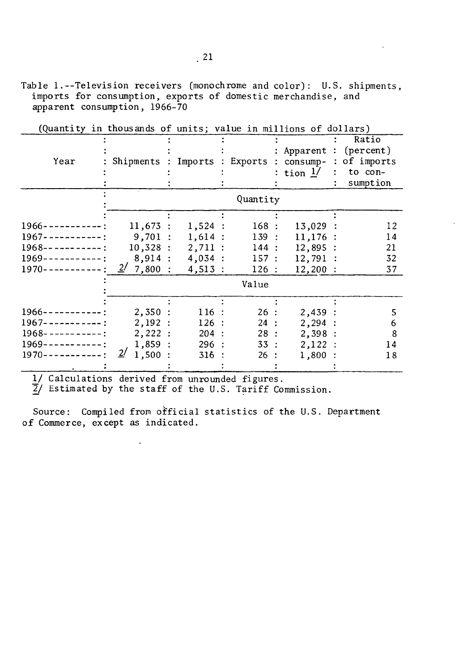Table 1.--Television receivers (monochrome and color): U.S. shipments, imports for consumption, exports of domestic merchandise, and apparent consumption, 1966-70

|                              |                    |           |          |               |             | Ratio      |
|------------------------------|--------------------|-----------|----------|---------------|-------------|------------|
|                              |                    |           |          |               | : Apparent  | (percent)  |
| Year                         | Shipments          | Imports   | Exports  | $\mathcal{L}$ | $consump-$  | of imports |
|                              |                    |           |          |               | : tion $1/$ | to con-    |
|                              |                    |           |          |               |             | sumption   |
|                              |                    |           | Quantity |               |             |            |
|                              |                    |           |          |               |             |            |
|                              |                    |           |          |               |             |            |
| $1966 - - - - - - - -$ :     | 11,673:            | $1,524$ : | 168:     |               | 13,029      | 12         |
| $1967 - - - - - - - -$ :     | 9,701:             | $1,614$ : | 139:     |               | $11,176$ :  | 14         |
| $1968 - - - - - - - -$ :     | 10,328:            | 2,711:    | 144:     |               | 12,895:     | 21         |
| 1969-<br>$\frac{1}{2}$       | 8,914:             | 4,034:    | 157:     |               | 12,791      | 32         |
| $1970 - - - - - - - - - - -$ | 2/<br>7,800:       | 4,513:    | 126:     |               | $12,200$ :  | 37         |
|                              |                    |           | Value    |               |             |            |
|                              |                    |           |          |               |             |            |
| $1966 - -$<br>--------       | 2,350:             | 116:      | 26 :     |               | 2,439:      | 5          |
| $1967 - - - - - - - - -$ :   | 2,192:             | 126:      | 24:      |               | 2,294:      | 6          |
| $1968 - -$                   | 2,222:             | 204       | 28:      |               | 2,398:      | 8          |
| $1969 - - - - - - - - -$     | 1,859:             | 296:      | 33:      |               | 2,122:      | 14         |
| $1970 - -$                   | <u>2/</u><br>1,500 | 316       | 26 :     |               | 1,800       | 18         |
|                              |                    |           |          |               |             |            |

(Quantity in thousands of units; value in millions of dollars)

1/ Calculations derived from unrounded figures.

 $\frac{7}{2}$ / Estimated by the staff of the U.S. Tariff Commission.

Source: Compiled from official statistics of the U.S. Department of Commerce, except as indicated.